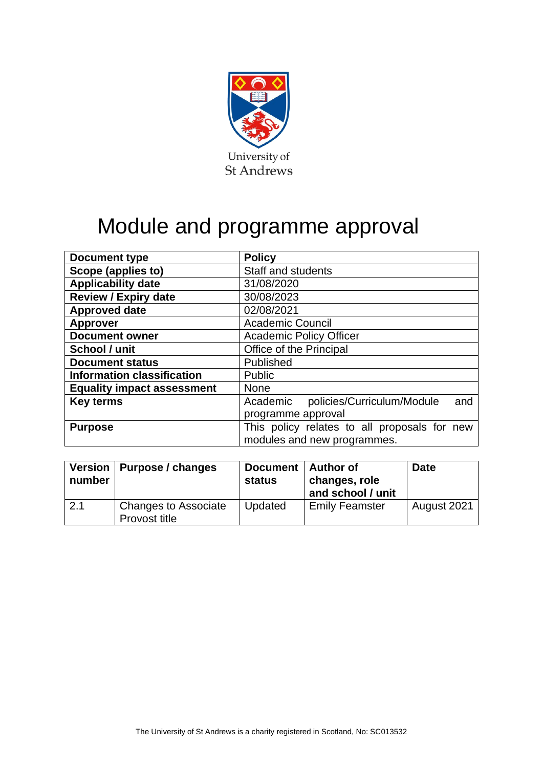

# Module and programme approval

| <b>Document type</b>              | <b>Policy</b>                                 |  |  |  |
|-----------------------------------|-----------------------------------------------|--|--|--|
| Scope (applies to)                | <b>Staff and students</b>                     |  |  |  |
| <b>Applicability date</b>         | 31/08/2020                                    |  |  |  |
| <b>Review / Expiry date</b>       | 30/08/2023                                    |  |  |  |
| <b>Approved date</b>              | 02/08/2021                                    |  |  |  |
| <b>Approver</b>                   | <b>Academic Council</b>                       |  |  |  |
| <b>Document owner</b>             | <b>Academic Policy Officer</b>                |  |  |  |
| School / unit                     | Office of the Principal                       |  |  |  |
| <b>Document status</b>            | Published                                     |  |  |  |
| <b>Information classification</b> | <b>Public</b>                                 |  |  |  |
| <b>Equality impact assessment</b> | <b>None</b>                                   |  |  |  |
| <b>Key terms</b>                  | policies/Curriculum/Module<br>Academic<br>and |  |  |  |
|                                   | programme approval                            |  |  |  |
| <b>Purpose</b>                    | This policy relates to all proposals for new  |  |  |  |
|                                   | modules and new programmes.                   |  |  |  |

| number | Version   Purpose / changes                  | Document   Author of<br>status | changes, role<br>and school / unit | <b>Date</b> |
|--------|----------------------------------------------|--------------------------------|------------------------------------|-------------|
| 2.1    | <b>Changes to Associate</b><br>Provost title | Updated                        | <b>Emily Feamster</b>              | August 2021 |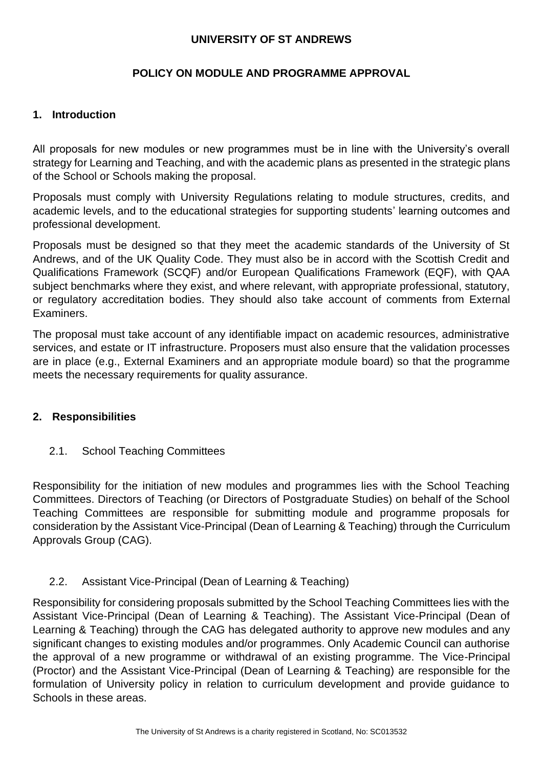#### **UNIVERSITY OF ST ANDREWS**

## **POLICY ON MODULE AND PROGRAMME APPROVAL**

#### **1. Introduction**

All proposals for new modules or new programmes must be in line with the University's overall strategy for Learning and Teaching, and with the academic plans as presented in the strategic plans of the School or Schools making the proposal.

Proposals must comply with University Regulations relating to module structures, credits, and academic levels, and to the educational strategies for supporting students' learning outcomes and professional development.

Proposals must be designed so that they meet the academic standards of the University of St Andrews, and of the UK Quality Code. They must also be in accord with the Scottish Credit and Qualifications Framework (SCQF) and/or European Qualifications Framework (EQF), with QAA subject benchmarks where they exist, and where relevant, with appropriate professional, statutory, or regulatory accreditation bodies. They should also take account of comments from External Examiners.

The proposal must take account of any identifiable impact on academic resources, administrative services, and estate or IT infrastructure. Proposers must also ensure that the validation processes are in place (e.g., External Examiners and an appropriate module board) so that the programme meets the necessary requirements for quality assurance.

## **2. Responsibilities**

## 2.1. School Teaching Committees

Responsibility for the initiation of new modules and programmes lies with the School Teaching Committees. Directors of Teaching (or Directors of Postgraduate Studies) on behalf of the School Teaching Committees are responsible for submitting module and programme proposals for consideration by the Assistant Vice-Principal (Dean of Learning & Teaching) through the Curriculum Approvals Group (CAG).

#### 2.2. Assistant Vice-Principal (Dean of Learning & Teaching)

Responsibility for considering proposals submitted by the School Teaching Committees lies with the Assistant Vice-Principal (Dean of Learning & Teaching). The Assistant Vice-Principal (Dean of Learning & Teaching) through the CAG has delegated authority to approve new modules and any significant changes to existing modules and/or programmes. Only Academic Council can authorise the approval of a new programme or withdrawal of an existing programme. The Vice-Principal (Proctor) and the Assistant Vice-Principal (Dean of Learning & Teaching) are responsible for the formulation of University policy in relation to curriculum development and provide guidance to Schools in these areas.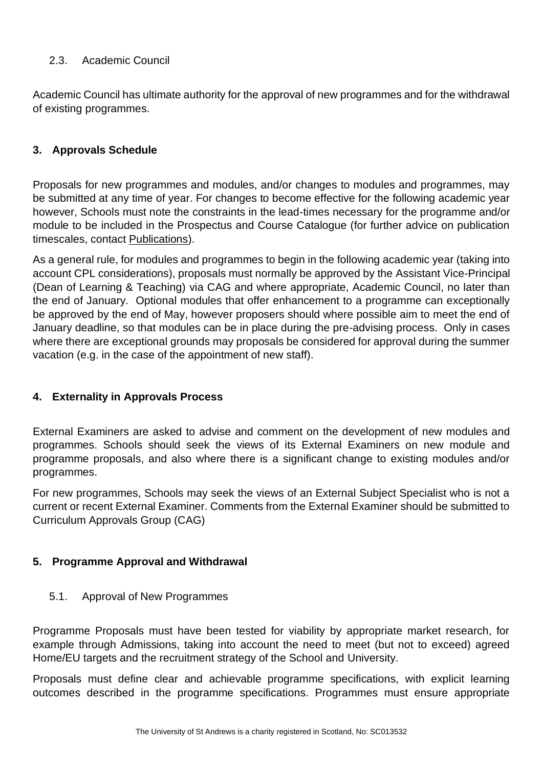## 2.3. Academic Council

Academic Council has ultimate authority for the approval of new programmes and for the withdrawal of existing programmes.

## **3. Approvals Schedule**

Proposals for new programmes and modules, and/or changes to modules and programmes, may be submitted at any time of year. For changes to become effective for the following academic year however, Schools must note the constraints in the lead-times necessary for the programme and/or module to be included in the Prospectus and Course Catalogue (for further advice on publication timescales, contact [Publications\)](mailto:publications@st-andrews.ac.uk).

As a general rule, for modules and programmes to begin in the following academic year (taking into account CPL considerations), proposals must normally be approved by the Assistant Vice-Principal (Dean of Learning & Teaching) via CAG and where appropriate, Academic Council, no later than the end of January. Optional modules that offer enhancement to a programme can exceptionally be approved by the end of May, however proposers should where possible aim to meet the end of January deadline, so that modules can be in place during the pre-advising process. Only in cases where there are exceptional grounds may proposals be considered for approval during the summer vacation (e.g. in the case of the appointment of new staff).

#### **4. Externality in Approvals Process**

External Examiners are asked to advise and comment on the development of new modules and programmes. Schools should seek the views of its External Examiners on new module and programme proposals, and also where there is a significant change to existing modules and/or programmes.

For new programmes, Schools may seek the views of an External Subject Specialist who is not a current or recent External Examiner. Comments from the External Examiner should be submitted to Curriculum Approvals Group (CAG)

#### **5. Programme Approval and Withdrawal**

5.1. Approval of New Programmes

Programme Proposals must have been tested for viability by appropriate market research, for example through Admissions, taking into account the need to meet (but not to exceed) agreed Home/EU targets and the recruitment strategy of the School and University.

Proposals must define clear and achievable programme specifications, with explicit learning outcomes described in the programme specifications. Programmes must ensure appropriate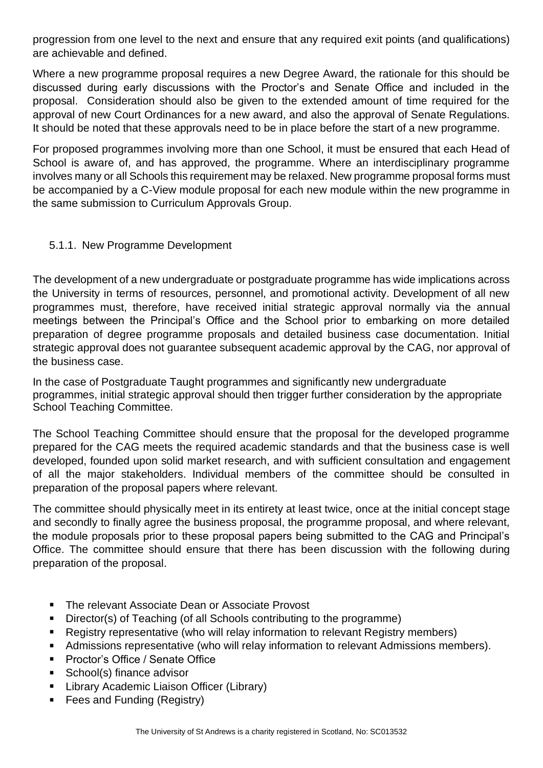progression from one level to the next and ensure that any required exit points (and qualifications) are achievable and defined.

Where a new programme proposal requires a new Degree Award, the rationale for this should be discussed during early discussions with the Proctor's and Senate Office and included in the proposal. Consideration should also be given to the extended amount of time required for the approval of new Court Ordinances for a new award, and also the approval of Senate Regulations. It should be noted that these approvals need to be in place before the start of a new programme.

For proposed programmes involving more than one School, it must be ensured that each Head of School is aware of, and has approved, the programme. Where an interdisciplinary programme involves many or all Schools this requirement may be relaxed. New programme proposal forms must be accompanied by a C-View module proposal for each new module within the new programme in the same submission to Curriculum Approvals Group.

## 5.1.1. New Programme Development

The development of a new undergraduate or postgraduate programme has wide implications across the University in terms of resources, personnel, and promotional activity. Development of all new programmes must, therefore, have received initial strategic approval normally via the annual meetings between the Principal's Office and the School prior to embarking on more detailed preparation of degree programme proposals and detailed business case documentation. Initial strategic approval does not guarantee subsequent academic approval by the CAG, nor approval of the business case.

In the case of Postgraduate Taught programmes and significantly new undergraduate programmes, initial strategic approval should then trigger further consideration by the appropriate School Teaching Committee*.*

The School Teaching Committee should ensure that the proposal for the developed programme prepared for the CAG meets the required academic standards and that the business case is well developed, founded upon solid market research, and with sufficient consultation and engagement of all the major stakeholders. Individual members of the committee should be consulted in preparation of the proposal papers where relevant.

The committee should physically meet in its entirety at least twice, once at the initial concept stage and secondly to finally agree the business proposal, the programme proposal, and where relevant, the module proposals prior to these proposal papers being submitted to the CAG and Principal's Office. The committee should ensure that there has been discussion with the following during preparation of the proposal.

- The relevant Associate Dean or Associate Provost
- Director(s) of Teaching (of all Schools contributing to the programme)  $\blacksquare$
- $\blacksquare$ Registry representative (who will relay information to relevant Registry members)
- Admissions representative (who will relay information to relevant Admissions members).  $\blacksquare$
- Proctor's Office / Senate Office  $\blacksquare$
- School(s) finance advisor  $\blacksquare$
- Library Academic Liaison Officer (Library)  $\blacksquare$
- Fees and Funding (Registry) $\blacksquare$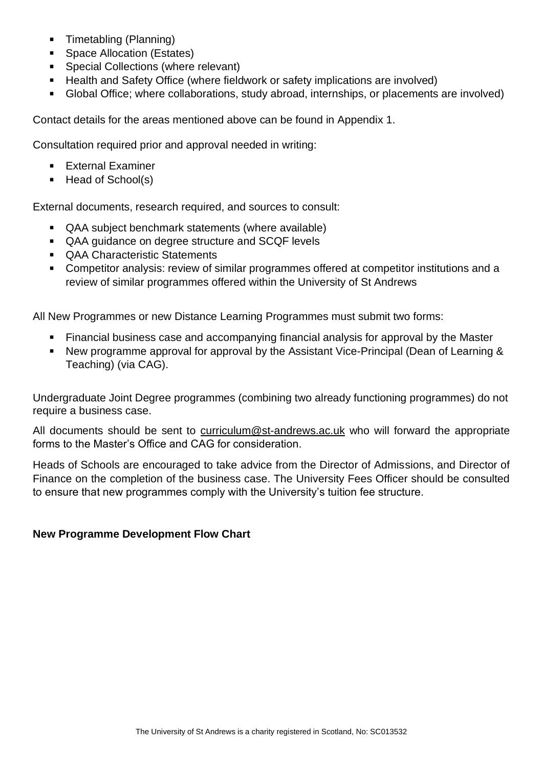- **Timetabling (Planning)**
- **Space Allocation (Estates)**
- **Special Collections (where relevant)**
- Health and Safety Office (where fieldwork or safety implications are involved)
- Global Office; where collaborations, study abroad, internships, or placements are involved)

Contact details for the areas mentioned above can be found in Appendix 1.

Consultation required prior and approval needed in writing:

- **External Examiner**
- $H$ ead of School(s)

External documents, research required, and sources to consult:

- QAA subject benchmark statements (where available)
- QAA guidance on degree structure and SCQF levels
- **QAA Characteristic Statements**
- Competitor analysis: review of similar programmes offered at competitor institutions and a review of similar programmes offered within the University of St Andrews

All New Programmes or new Distance Learning Programmes must submit two forms:

- Financial business case and accompanying financial analysis for approval by the Master
- New programme approval for approval by the Assistant Vice-Principal (Dean of Learning & Teaching) (via CAG).

Undergraduate Joint Degree programmes (combining two already functioning programmes) do not require a business case.

All documents should be sent to [curriculum@st-andrews.ac.uk](mailto:curriculum@st-andrews.ac.uk) who will forward the appropriate forms to the Master's Office and CAG for consideration.

Heads of Schools are encouraged to take advice from the Director of Admissions, and Director of Finance on the completion of the business case. The University Fees Officer should be consulted to ensure that new programmes comply with the University's tuition fee structure.

## **New Programme Development Flow Chart**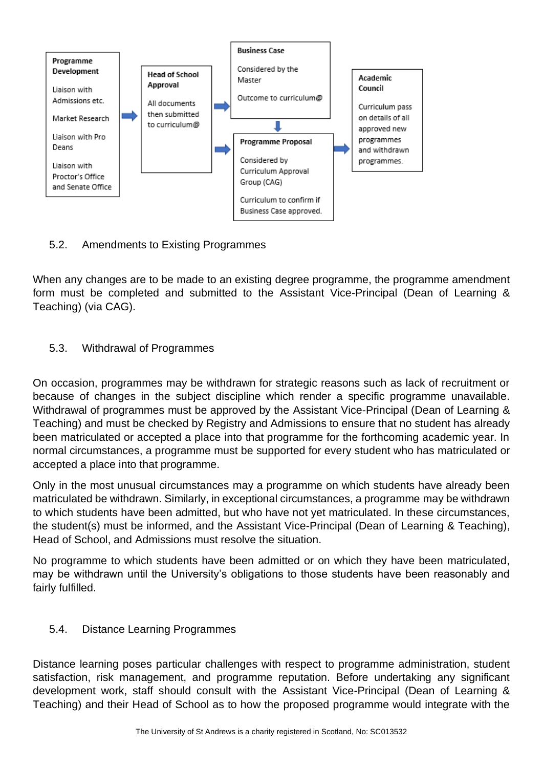

## 5.2. Amendments to Existing Programmes

When any changes are to be made to an existing degree programme, the programme amendment form must be completed and submitted to the Assistant Vice-Principal (Dean of Learning & Teaching) (via CAG).

## 5.3. Withdrawal of Programmes

On occasion, programmes may be withdrawn for strategic reasons such as lack of recruitment or because of changes in the subject discipline which render a specific programme unavailable. Withdrawal of programmes must be approved by the Assistant Vice-Principal (Dean of Learning & Teaching) and must be checked by Registry and Admissions to ensure that no student has already been matriculated or accepted a place into that programme for the forthcoming academic year. In normal circumstances, a programme must be supported for every student who has matriculated or accepted a place into that programme.

Only in the most unusual circumstances may a programme on which students have already been matriculated be withdrawn. Similarly, in exceptional circumstances, a programme may be withdrawn to which students have been admitted, but who have not yet matriculated. In these circumstances, the student(s) must be informed, and the Assistant Vice-Principal (Dean of Learning & Teaching), Head of School, and Admissions must resolve the situation.

No programme to which students have been admitted or on which they have been matriculated, may be withdrawn until the University's obligations to those students have been reasonably and fairly fulfilled.

## 5.4. Distance Learning Programmes

Distance learning poses particular challenges with respect to programme administration, student satisfaction, risk management, and programme reputation. Before undertaking any significant development work, staff should consult with the Assistant Vice-Principal (Dean of Learning & Teaching) and their Head of School as to how the proposed programme would integrate with the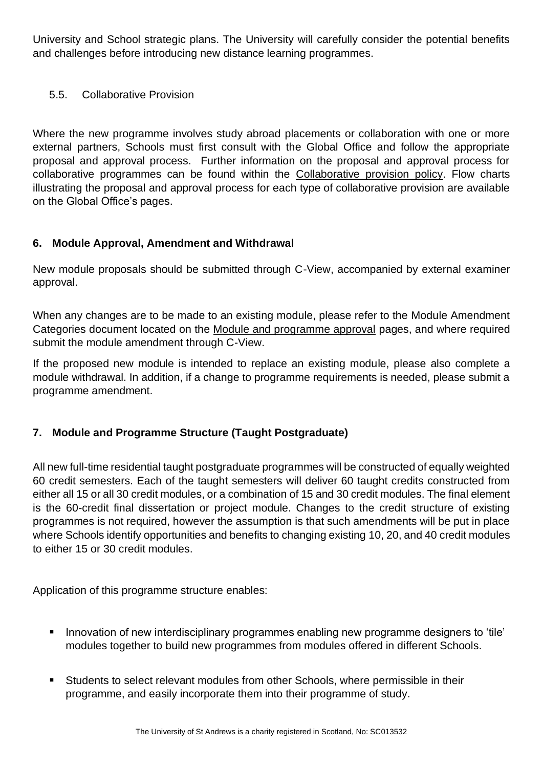University and School strategic plans. The University will carefully consider the potential benefits and challenges before introducing new distance learning programmes.

## 5.5. Collaborative Provision

Where the new programme involves study abroad placements or collaboration with one or more external partners, Schools must first consult with the Global Office and follow the appropriate proposal and approval process. Further information on the proposal and approval process for collaborative programmes can be found within the [Collaborative provision policy.](https://www.st-andrews.ac.uk/policy/academic-policies-curriculum-collaborative-provision-of-ug-and-pg-programmes/collaborative-provision-of-ug-and-pg-programmes.pdf) Flow charts illustrating the proposal and approval process for each type of collaborative provision are available on the Global Office's pages.

## **6. Module Approval, Amendment and Withdrawal**

New module proposals should be submitted through C-View, accompanied by external examiner approval.

When any changes are to be made to an existing module, please refer to the Module Amendment Categories document located on the [Module and programme approval](https://www.st-andrews.ac.uk/staff/teaching/curriculum/approval/) pages, and where required submit the module amendment through C-View.

If the proposed new module is intended to replace an existing module, please also complete a module withdrawal. In addition, if a change to programme requirements is needed, please submit a programme amendment.

## **7. Module and Programme Structure (Taught Postgraduate)**

All new full-time residential taught postgraduate programmes will be constructed of equally weighted 60 credit semesters. Each of the taught semesters will deliver 60 taught credits constructed from either all 15 or all 30 credit modules, or a combination of 15 and 30 credit modules. The final element is the 60-credit final dissertation or project module. Changes to the credit structure of existing programmes is not required, however the assumption is that such amendments will be put in place where Schools identify opportunities and benefits to changing existing 10, 20, and 40 credit modules to either 15 or 30 credit modules.

Application of this programme structure enables:

- Innovation of new interdisciplinary programmes enabling new programme designers to 'tile' modules together to build new programmes from modules offered in different Schools.
- Students to select relevant modules from other Schools, where permissible in their programme, and easily incorporate them into their programme of study.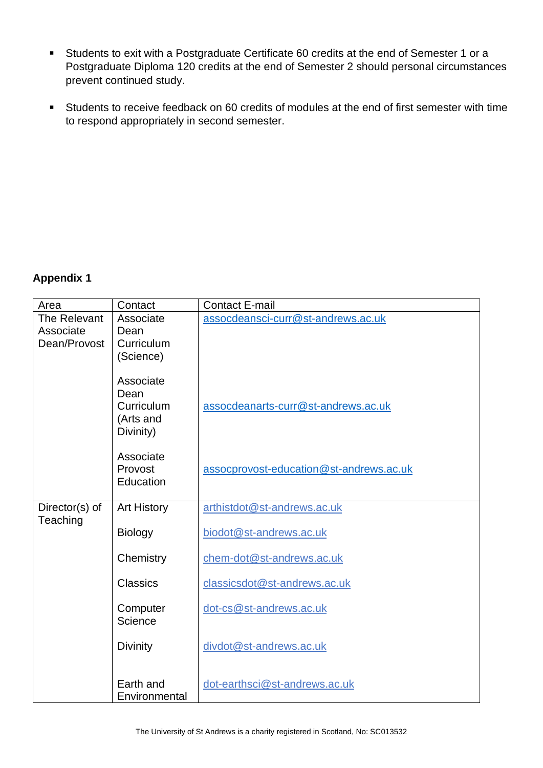- Students to exit with a Postgraduate Certificate 60 credits at the end of Semester 1 or a Postgraduate Diploma 120 credits at the end of Semester 2 should personal circumstances prevent continued study.
- Students to receive feedback on 60 credits of modules at the end of first semester with time  $\blacksquare$ to respond appropriately in second semester.

#### **Appendix 1**

| Area                      | Contact                                                   | <b>Contact E-mail</b>                   |  |  |  |
|---------------------------|-----------------------------------------------------------|-----------------------------------------|--|--|--|
| The Relevant<br>Associate | Associate<br>Dean                                         | assocdeansci-curr@st-andrews.ac.uk      |  |  |  |
| Dean/Provost              | Curriculum                                                |                                         |  |  |  |
|                           | (Science)                                                 |                                         |  |  |  |
|                           | Associate<br>Dean<br>Curriculum<br>(Arts and<br>Divinity) | assocdeanarts-curr@st-andrews.ac.uk     |  |  |  |
|                           | Associate<br>Provost<br>Education                         | assocprovost-education@st-andrews.ac.uk |  |  |  |
| Director(s) of            | <b>Art History</b>                                        | arthistdot@st-andrews.ac.uk             |  |  |  |
| Teaching                  | <b>Biology</b>                                            | biodot@st-andrews.ac.uk                 |  |  |  |
|                           | Chemistry                                                 | chem-dot@st-andrews.ac.uk               |  |  |  |
|                           | <b>Classics</b>                                           | classicsdot@st-andrews.ac.uk            |  |  |  |
|                           | Computer<br>Science                                       | dot-cs@st-andrews.ac.uk                 |  |  |  |
|                           | <b>Divinity</b>                                           | divdot@st-andrews.ac.uk                 |  |  |  |
|                           | Earth and<br>Environmental                                | dot-earthsci@st-andrews.ac.uk           |  |  |  |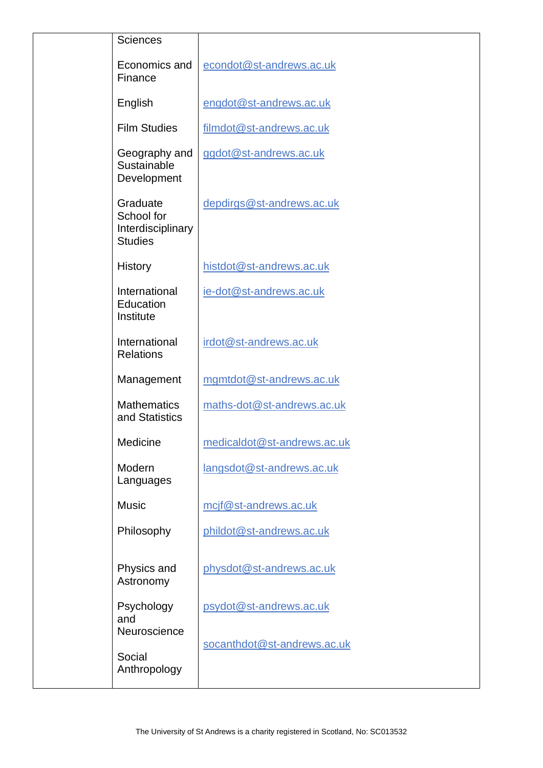| <b>Sciences</b>                                               |                             |
|---------------------------------------------------------------|-----------------------------|
| Economics and<br>Finance                                      | econdot@st-andrews.ac.uk    |
| English                                                       | engdot@st-andrews.ac.uk     |
| <b>Film Studies</b>                                           | filmdot@st-andrews.ac.uk    |
| Geography and<br>Sustainable<br>Development                   | ggdot@st-andrews.ac.uk      |
| Graduate<br>School for<br>Interdisciplinary<br><b>Studies</b> | depdirgs@st-andrews.ac.uk   |
| <b>History</b>                                                | histdot@st-andrews.ac.uk    |
| International<br>Education<br>Institute                       | ie-dot@st-andrews.ac.uk     |
| International<br><b>Relations</b>                             | irdot@st-andrews.ac.uk      |
| Management                                                    | mgmtdot@st-andrews.ac.uk    |
| <b>Mathematics</b><br>and Statistics                          | maths-dot@st-andrews.ac.uk  |
| Medicine                                                      | medicaldot@st-andrews.ac.uk |
| Modern<br>Languages                                           | langsdot@st-andrews.ac.uk   |
| <b>Music</b>                                                  | mcjf@st-andrews.ac.uk       |
| Philosophy                                                    | phildot@st-andrews.ac.uk    |
| Physics and<br>Astronomy                                      | physdot@st-andrews.ac.uk    |
| Psychology<br>and<br>Neuroscience                             | psydot@st-andrews.ac.uk     |
| Social                                                        | socanthdot@st-andrews.ac.uk |
| Anthropology                                                  |                             |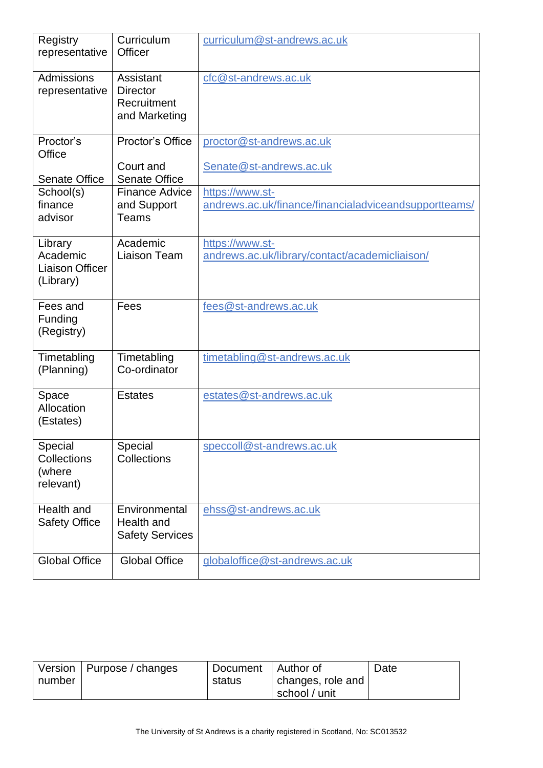| Registry<br>representative                                 | Curriculum<br>Officer                                        | curriculum@st-andrews.ac.uk                                              |
|------------------------------------------------------------|--------------------------------------------------------------|--------------------------------------------------------------------------|
| Admissions<br>representative                               | Assistant<br><b>Director</b><br>Recruitment<br>and Marketing | cfc@st-andrews.ac.uk                                                     |
| Proctor's<br>Office<br><b>Senate Office</b>                | Proctor's Office<br>Court and<br><b>Senate Office</b>        | proctor@st-andrews.ac.uk<br>Senate@st-andrews.ac.uk                      |
| School(s)<br>finance<br>advisor                            | <b>Finance Advice</b><br>and Support<br>Teams                | https://www.st-<br>andrews.ac.uk/finance/financialadviceandsupportteams/ |
| Library<br>Academic<br><b>Liaison Officer</b><br>(Library) | Academic<br><b>Liaison Team</b>                              | https://www.st-<br>andrews.ac.uk/library/contact/academicliaison/        |
| Fees and<br>Funding<br>(Registry)                          | Fees                                                         | fees@st-andrews.ac.uk                                                    |
| Timetabling<br>(Planning)                                  | Timetabling<br>Co-ordinator                                  | timetabling@st-andrews.ac.uk                                             |
| Space<br>Allocation<br>(Estates)                           | <b>Estates</b>                                               | estates@st-andrews.ac.uk                                                 |
| Special<br>Collections<br>(where<br>relevant)              | Special<br>Collections                                       | speccoll@st-andrews.ac.uk                                                |
| Health and<br><b>Safety Office</b>                         | Environmental<br>Health and<br><b>Safety Services</b>        | ehss@st-andrews.ac.uk                                                    |
| <b>Global Office</b>                                       | <b>Global Office</b>                                         | globaloffice@st-andrews.ac.uk                                            |

|        | Version   Purpose / changes | Document   Author of |                   | Date |
|--------|-----------------------------|----------------------|-------------------|------|
| number |                             | status               | changes, role and |      |
|        |                             |                      | school / unit     |      |